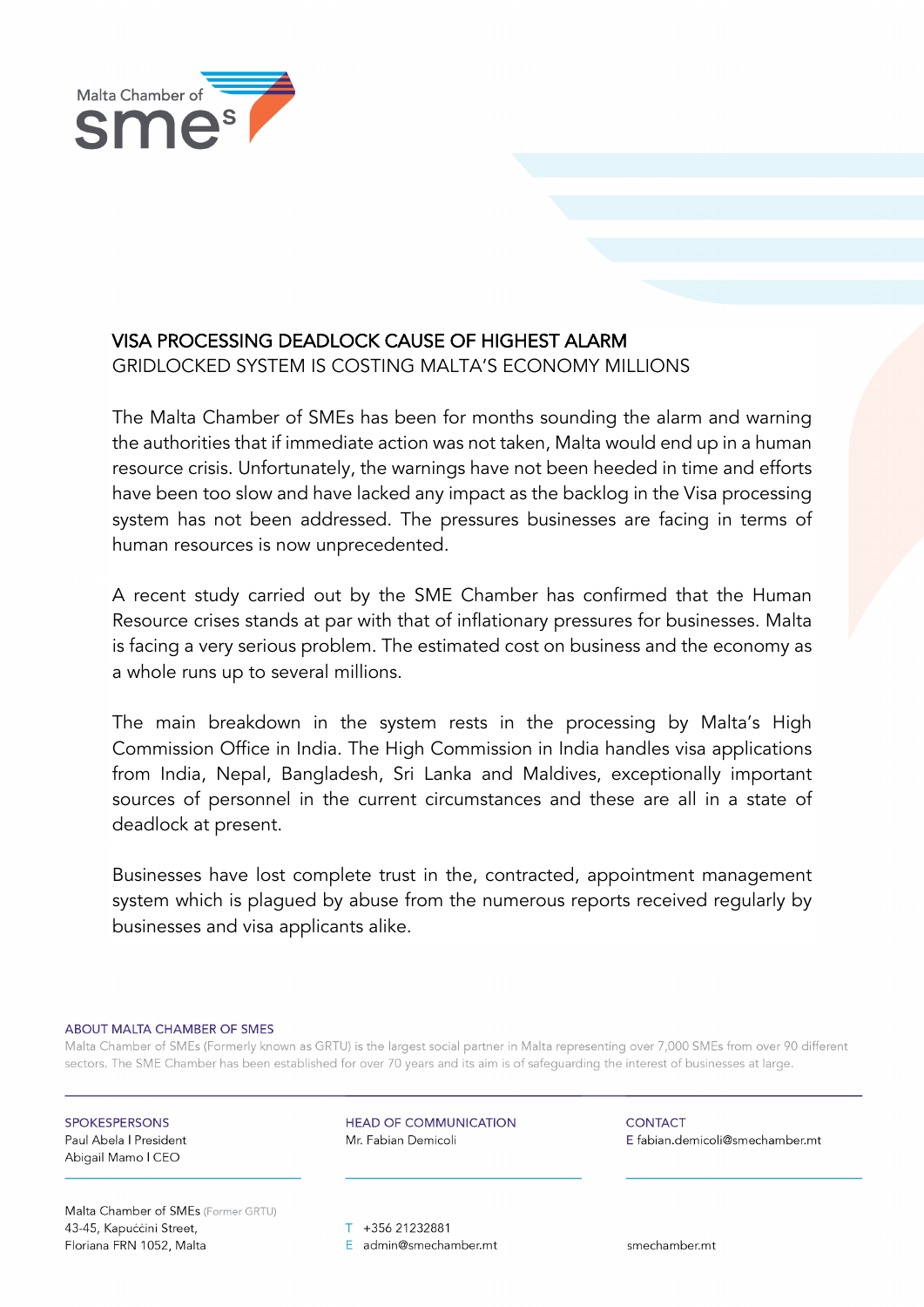

## VISA PROCESSING DEADLOCK CAUSE OF HIGHEST ALARM

GRIDLOCKED SYSTEM IS COSTING MALTA'S ECONOMY MILLIONS

The Malta Chamber of SMEs has been for months sounding the alarm and warning the authorities that if immediate action was not taken, Malta would end up in a human resource crisis. Unfortunately, the warnings have not been heeded in time and efforts have been too slow and have lacked any impact as the backlog in the Visa processing system has not been addressed. The pressures businesses are facing in terms of human resources is now unprecedented.

A recent study carried out by the SME Chamber has confirmed that the Human Resource crises stands at par with that of inflationary pressures for businesses. Malta is facing a very serious problem. The estimated cost on business and the economy as a whole runs up to several millions.

The main breakdown in the system rests in the processing by Malta's High Commission Office in India. The High Commission in India handles visa applications from India, Nepal, Bangladesh, Sri Lanka and Maldives, exceptionally important sources of personnel in the current circumstances and these are all in a state of deadlock at present.

Businesses have lost complete trust in the, contracted, appointment management system which is plagued by abuse from the numerous reports received regularly by businesses and visa applicants alike.

## ABOUT MALTA CHAMBER OF SMES

Malta Chamber of SMEs (Formerly known as GRTU) is the largest social partner in Malta representing over 7,000 SMEs from over 90 different sectors. The SME Chamber has been established for over 70 years and its aim is of safeguarding the interest of businesses at large.

**SPOKESPERSONS** Paul Abela | President Abigail Mamo I CEO

**HEAD OF COMMUNICATION** Mr. Fabian Demicoli

**CONTACT** E fabian.demicoli@smechamber.mt

Malta Chamber of SMEs (Former GRTU) 43-45, Kapuċċini Street, Floriana FRN 1052, Malta

T +356 21232881 E admin@smechamber.mt

smechamber.mt